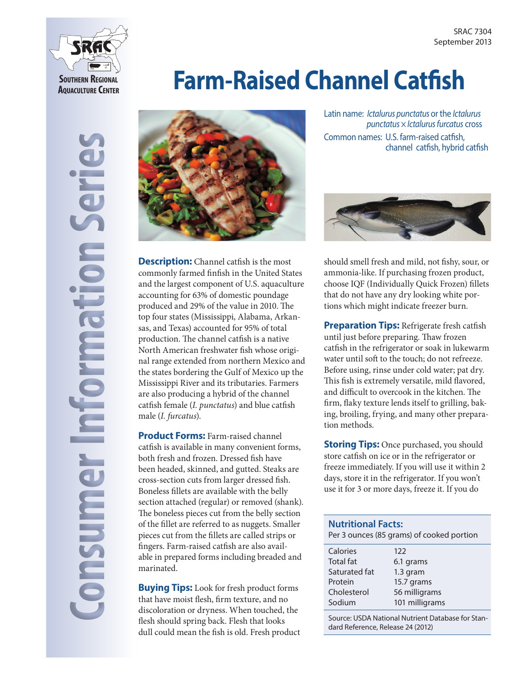

# **Farm-Raised Channel Catfish**





**Description:** Channel catfish is the most commonly farmed finfish in the United States and the largest component of U.S. aquaculture accounting for 63% of domestic poundage produced and 29% of the value in 2010. The top four states (Mississippi, Alabama, Arkansas, and Texas) accounted for 95% of total production. The channel catfish is a native North American freshwater fish whose original range extended from northern Mexico and the states bordering the Gulf of Mexico up the Mississippi River and its tributaries. Farmers are also producing a hybrid of the channel catfish female (*I. punctatus*) and blue catfish male (*I. furcatus*).

**Product Forms: Farm-raised channel** catfish is available in many convenient forms, both fresh and frozen. Dressed fish have been headed, skinned, and gutted. Steaks are cross-section cuts from larger dressed fish. Boneless fillets are available with the belly section attached (regular) or removed (shank). The boneless pieces cut from the belly section of the fillet are referred to as nuggets. Smaller pieces cut from the fillets are called strips or fingers. Farm-raised catfish are also available in prepared forms including breaded and marinated.

**Buying Tips:** Look for fresh product forms that have moist flesh, firm texture, and no discoloration or dryness. When touched, the flesh should spring back. Flesh that looks dull could mean the fish is old. Fresh product Latin name: *Ictalurus punctatus* or the *Ictalurus punctatus* × *Ictalurus furcatus* cross Common names: U.S. farm-raised catfish, channel catfish, hybrid catfish



should smell fresh and mild, not fishy, sour, or ammonia-like. If purchasing frozen product, choose IQF (Individually Quick Frozen) fillets that do not have any dry looking white portions which might indicate freezer burn.

**Preparation Tips:** Refrigerate fresh catfish until just before preparing. Thaw frozen catfish in the refrigerator or soak in lukewarm water until soft to the touch; do not refreeze. Before using, rinse under cold water; pat dry. This fish is extremely versatile, mild flavored, and difficult to overcook in the kitchen. The firm, flaky texture lends itself to grilling, baking, broiling, frying, and many other preparation methods.

**Storing Tips:** Once purchased, you should store catfish on ice or in the refrigerator or freeze immediately. If you will use it within 2 days, store it in the refrigerator. If you won't use it for 3 or more days, freeze it. If you do

| <b>Nutritional Facts:</b><br>Per 3 ounces (85 grams) of cooked portion |                |
|------------------------------------------------------------------------|----------------|
| Calories                                                               | 122            |
| <b>Total fat</b>                                                       | 6.1 grams      |
| Saturated fat                                                          | 1.3 gram       |
| Protein                                                                | 15.7 grams     |
| Cholesterol                                                            | 56 milligrams  |
| Sodium                                                                 | 101 milligrams |

Source: USDA National Nutrient Database for Standard Reference, Release 24 (2012)